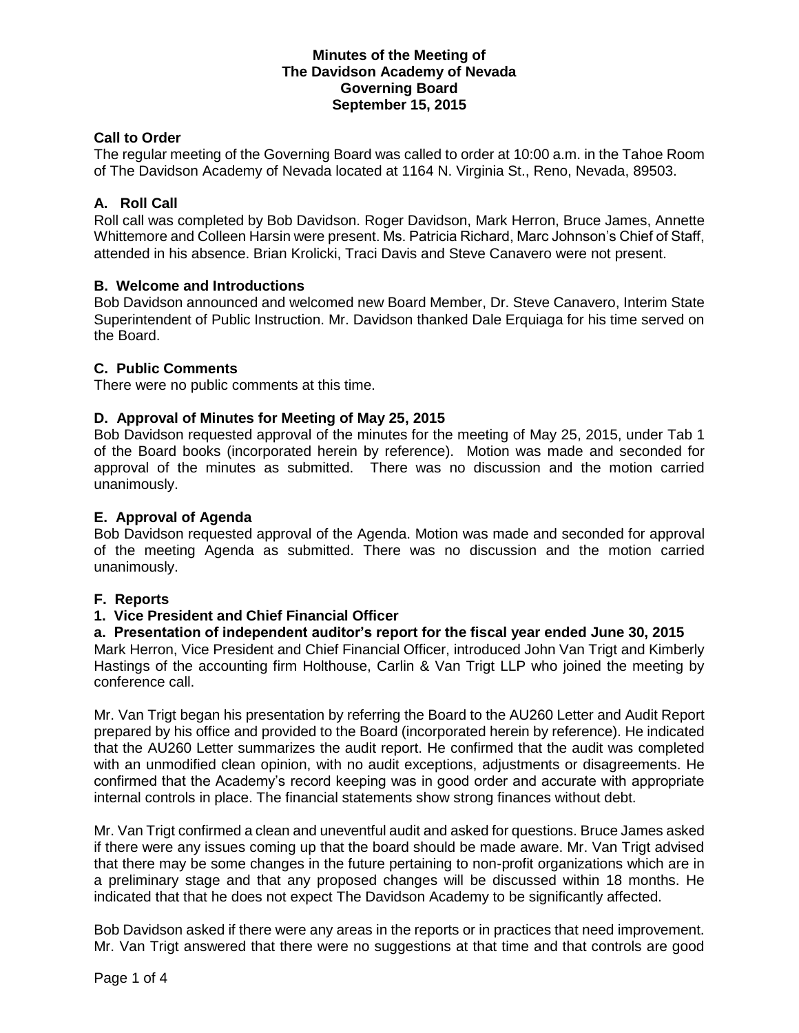## **Minutes of the Meeting of The Davidson Academy of Nevada Governing Board September 15, 2015**

# **Call to Order**

The regular meeting of the Governing Board was called to order at 10:00 a.m. in the Tahoe Room of The Davidson Academy of Nevada located at 1164 N. Virginia St., Reno, Nevada, 89503.

## **A. Roll Call**

Roll call was completed by Bob Davidson. Roger Davidson, Mark Herron, Bruce James, Annette Whittemore and Colleen Harsin were present. Ms. Patricia Richard, Marc Johnson's Chief of Staff, attended in his absence. Brian Krolicki, Traci Davis and Steve Canavero were not present.

## **B. Welcome and Introductions**

Bob Davidson announced and welcomed new Board Member, Dr. Steve Canavero, Interim State Superintendent of Public Instruction. Mr. Davidson thanked Dale Erquiaga for his time served on the Board.

## **C. Public Comments**

There were no public comments at this time.

## **D. Approval of Minutes for Meeting of May 25, 2015**

Bob Davidson requested approval of the minutes for the meeting of May 25, 2015, under Tab 1 of the Board books (incorporated herein by reference). Motion was made and seconded for approval of the minutes as submitted. There was no discussion and the motion carried unanimously.

#### **E. Approval of Agenda**

Bob Davidson requested approval of the Agenda. Motion was made and seconded for approval of the meeting Agenda as submitted. There was no discussion and the motion carried unanimously.

#### **F. Reports**

#### **1. Vice President and Chief Financial Officer**

**a. Presentation of independent auditor's report for the fiscal year ended June 30, 2015**

Mark Herron, Vice President and Chief Financial Officer, introduced John Van Trigt and Kimberly Hastings of the accounting firm Holthouse, Carlin & Van Trigt LLP who joined the meeting by conference call.

Mr. Van Trigt began his presentation by referring the Board to the AU260 Letter and Audit Report prepared by his office and provided to the Board (incorporated herein by reference). He indicated that the AU260 Letter summarizes the audit report. He confirmed that the audit was completed with an unmodified clean opinion, with no audit exceptions, adjustments or disagreements. He confirmed that the Academy's record keeping was in good order and accurate with appropriate internal controls in place. The financial statements show strong finances without debt.

Mr. Van Trigt confirmed a clean and uneventful audit and asked for questions. Bruce James asked if there were any issues coming up that the board should be made aware. Mr. Van Trigt advised that there may be some changes in the future pertaining to non-profit organizations which are in a preliminary stage and that any proposed changes will be discussed within 18 months. He indicated that that he does not expect The Davidson Academy to be significantly affected.

Bob Davidson asked if there were any areas in the reports or in practices that need improvement. Mr. Van Trigt answered that there were no suggestions at that time and that controls are good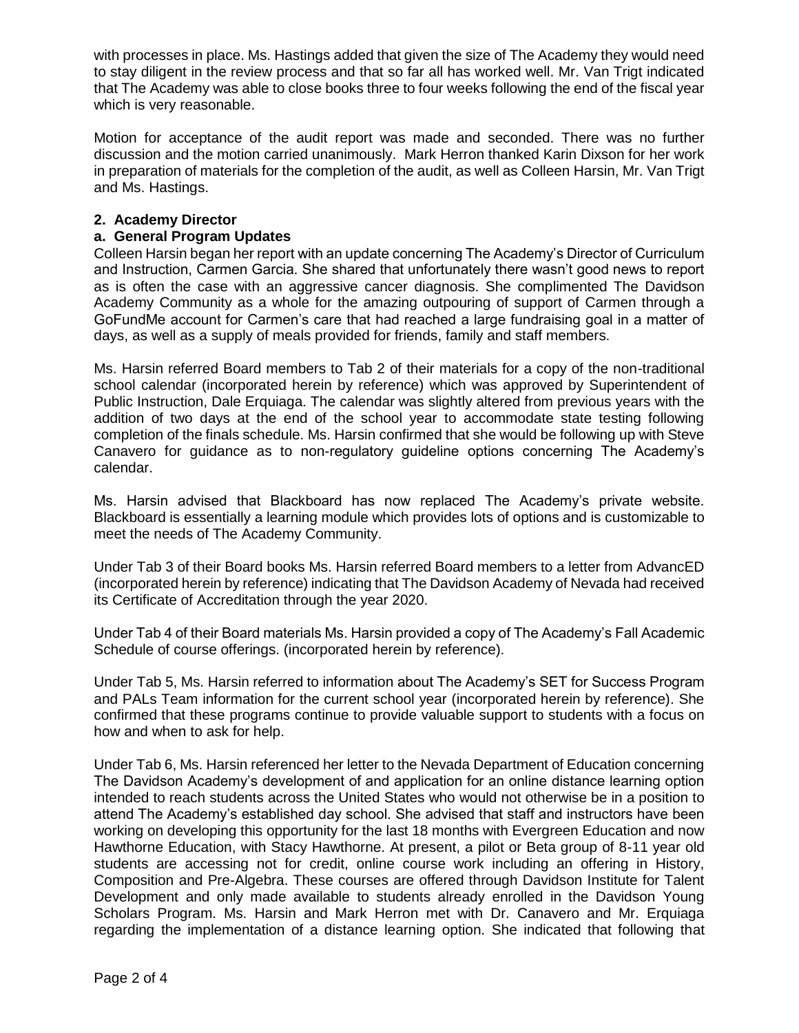with processes in place. Ms. Hastings added that given the size of The Academy they would need to stay diligent in the review process and that so far all has worked well. Mr. Van Trigt indicated that The Academy was able to close books three to four weeks following the end of the fiscal year which is very reasonable.

Motion for acceptance of the audit report was made and seconded. There was no further discussion and the motion carried unanimously. Mark Herron thanked Karin Dixson for her work in preparation of materials for the completion of the audit, as well as Colleen Harsin, Mr. Van Trigt and Ms. Hastings.

# **2. Academy Director**

## **a. General Program Updates**

Colleen Harsin began her report with an update concerning The Academy's Director of Curriculum and Instruction, Carmen Garcia. She shared that unfortunately there wasn't good news to report as is often the case with an aggressive cancer diagnosis. She complimented The Davidson Academy Community as a whole for the amazing outpouring of support of Carmen through a GoFundMe account for Carmen's care that had reached a large fundraising goal in a matter of days, as well as a supply of meals provided for friends, family and staff members.

Ms. Harsin referred Board members to Tab 2 of their materials for a copy of the non-traditional school calendar (incorporated herein by reference) which was approved by Superintendent of Public Instruction, Dale Erquiaga. The calendar was slightly altered from previous years with the addition of two days at the end of the school year to accommodate state testing following completion of the finals schedule. Ms. Harsin confirmed that she would be following up with Steve Canavero for guidance as to non-regulatory guideline options concerning The Academy's calendar.

Ms. Harsin advised that Blackboard has now replaced The Academy's private website. Blackboard is essentially a learning module which provides lots of options and is customizable to meet the needs of The Academy Community.

Under Tab 3 of their Board books Ms. Harsin referred Board members to a letter from AdvancED (incorporated herein by reference) indicating that The Davidson Academy of Nevada had received its Certificate of Accreditation through the year 2020.

Under Tab 4 of their Board materials Ms. Harsin provided a copy of The Academy's Fall Academic Schedule of course offerings. (incorporated herein by reference).

Under Tab 5, Ms. Harsin referred to information about The Academy's SET for Success Program and PALs Team information for the current school year (incorporated herein by reference). She confirmed that these programs continue to provide valuable support to students with a focus on how and when to ask for help.

Under Tab 6, Ms. Harsin referenced her letter to the Nevada Department of Education concerning The Davidson Academy's development of and application for an online distance learning option intended to reach students across the United States who would not otherwise be in a position to attend The Academy's established day school. She advised that staff and instructors have been working on developing this opportunity for the last 18 months with Evergreen Education and now Hawthorne Education, with Stacy Hawthorne. At present, a pilot or Beta group of 8-11 year old students are accessing not for credit, online course work including an offering in History, Composition and Pre-Algebra. These courses are offered through Davidson Institute for Talent Development and only made available to students already enrolled in the Davidson Young Scholars Program. Ms. Harsin and Mark Herron met with Dr. Canavero and Mr. Erquiaga regarding the implementation of a distance learning option. She indicated that following that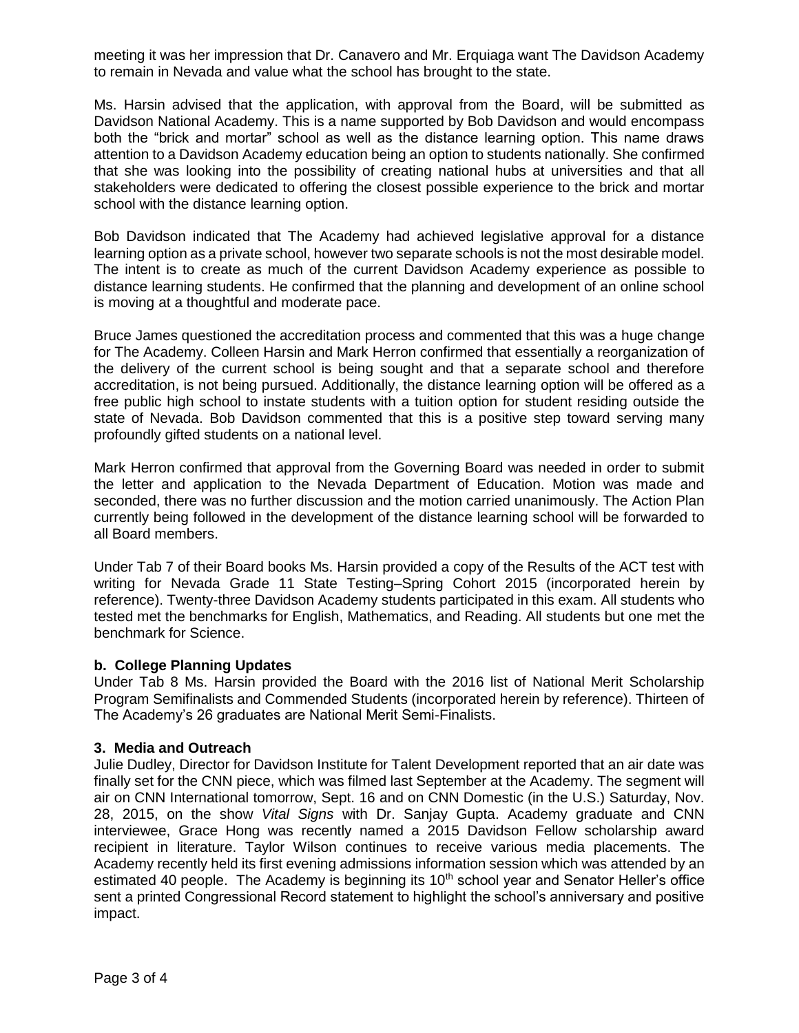meeting it was her impression that Dr. Canavero and Mr. Erquiaga want The Davidson Academy to remain in Nevada and value what the school has brought to the state.

Ms. Harsin advised that the application, with approval from the Board, will be submitted as Davidson National Academy. This is a name supported by Bob Davidson and would encompass both the "brick and mortar" school as well as the distance learning option. This name draws attention to a Davidson Academy education being an option to students nationally. She confirmed that she was looking into the possibility of creating national hubs at universities and that all stakeholders were dedicated to offering the closest possible experience to the brick and mortar school with the distance learning option.

Bob Davidson indicated that The Academy had achieved legislative approval for a distance learning option as a private school, however two separate schools is not the most desirable model. The intent is to create as much of the current Davidson Academy experience as possible to distance learning students. He confirmed that the planning and development of an online school is moving at a thoughtful and moderate pace.

Bruce James questioned the accreditation process and commented that this was a huge change for The Academy. Colleen Harsin and Mark Herron confirmed that essentially a reorganization of the delivery of the current school is being sought and that a separate school and therefore accreditation, is not being pursued. Additionally, the distance learning option will be offered as a free public high school to instate students with a tuition option for student residing outside the state of Nevada. Bob Davidson commented that this is a positive step toward serving many profoundly gifted students on a national level.

Mark Herron confirmed that approval from the Governing Board was needed in order to submit the letter and application to the Nevada Department of Education. Motion was made and seconded, there was no further discussion and the motion carried unanimously. The Action Plan currently being followed in the development of the distance learning school will be forwarded to all Board members.

Under Tab 7 of their Board books Ms. Harsin provided a copy of the Results of the ACT test with writing for Nevada Grade 11 State Testing–Spring Cohort 2015 (incorporated herein by reference). Twenty-three Davidson Academy students participated in this exam. All students who tested met the benchmarks for English, Mathematics, and Reading. All students but one met the benchmark for Science.

#### **b. College Planning Updates**

Under Tab 8 Ms. Harsin provided the Board with the 2016 list of National Merit Scholarship Program Semifinalists and Commended Students (incorporated herein by reference). Thirteen of The Academy's 26 graduates are National Merit Semi-Finalists.

#### **3. Media and Outreach**

Julie Dudley, Director for Davidson Institute for Talent Development reported that an air date was finally set for the CNN piece, which was filmed last September at the Academy. The segment will air on CNN International tomorrow, Sept. 16 and on CNN Domestic (in the U.S.) Saturday, Nov. 28, 2015, on the show *Vital Signs* with Dr. Sanjay Gupta. Academy graduate and CNN interviewee, Grace Hong was recently named a 2015 Davidson Fellow scholarship award recipient in literature. Taylor Wilson continues to receive various media placements. The Academy recently held its first evening admissions information session which was attended by an estimated 40 people. The Academy is beginning its  $10<sup>th</sup>$  school year and Senator Heller's office sent a printed Congressional Record statement to highlight the school's anniversary and positive impact.